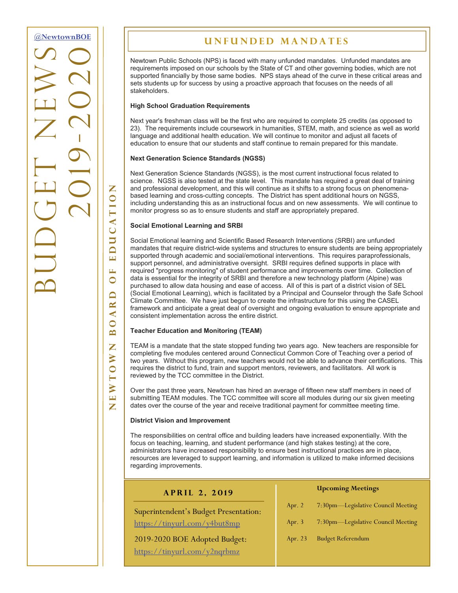BUDGET NEWS **2019-2020 [@NewtownBOE](http://tiny.cc/nboe1703n1t1_gd)**

**Newtown Board of Education** 

 $\Box$  $\mathbf{R}$  $\blacktriangleleft$  $\bigcirc$  $\mathbf{\Omega}$ Z  $\geq$  $\overline{O}$  $\vdash$  $\geqslant$  $\boxed{\phantom{1}}$ Z

Z  $\overline{O}$ 

 $\blacktriangleleft$ Ō  $\overline{\mathbf{u}}$  $\Box$  $\overline{\mathbf{L}}$ Щ  $\bigcirc$ 

# **Unfunded Mandates**

Newtown Public Schools (NPS) is faced with many unfunded mandates. Unfunded mandates are requirements imposed on our schools by the State of CT and other governing bodies, which are not supported financially by those same bodies. NPS stays ahead of the curve in these critical areas and sets students up for success by using a proactive approach that focuses on the needs of all stakeholders.

#### **High School Graduation Requirements**

Next year's freshman class will be the first who are required to complete 25 credits (as opposed to 23). The requirements include coursework in humanities, STEM, math, and science as well as world language and additional health education. We will continue to monitor and adjust all facets of education to ensure that our students and staff continue to remain prepared for this mandate.

#### **Next Generation Science Standards (NGSS)**

Next Generation Science Standards (NGSS), is the most current instructional focus related to science. NGSS is also tested at the state level. This mandate has required a great deal of training and professional development, and this will continue as it shifts to a strong focus on phenomenabased learning and cross-cutting concepts. The District has spent additional hours on NGSS, including understanding this as an instructional focus and on new assessments. We will continue to monitor progress so as to ensure students and staff are appropriately prepared.

### **Social Emotional Learning and SRBI**

Social Emotional learning and Scientific Based Research Interventions (SRBI) are unfunded mandates that require district-wide systems and structures to ensure students are being appropriately supported through academic and social/emotional interventions. This requires paraprofessionals, support personnel, and administrative oversight. SRBI requires defined supports in place with required "progress monitoring" of student performance and improvements over time. Collection of data is essential for the integrity of SRBI and therefore a new technology platform (Alpine) was purchased to allow data housing and ease of access. All of this is part of a district vision of SEL (Social Emotional Learning), which is facilitated by a Principal and Counselor through the Safe School Climate Committee. We have just begun to create the infrastructure for this using the CASEL framework and anticipate a great deal of oversight and ongoing evaluation to ensure appropriate and consistent implementation across the entire district.

### **Teacher Education and Monitoring (TEAM)**

TEAM is a mandate that the state stopped funding two years ago. New teachers are responsible for completing five modules centered around Connecticut Common Core of Teaching over a period of two years. Without this program, new teachers would not be able to advance their certifications. This requires the district to fund, train and support mentors, reviewers, and facilitators. All work is reviewed by the TCC committee in the District.

Over the past three years, Newtown has hired an average of fifteen new staff members in need of submitting TEAM modules. The TCC committee will score all modules during our six given meeting dates over the course of the year and receive traditional payment for committee meeting time.

#### **District Vision and Improvement**

The responsibilities on central office and building leaders have increased exponentially. With the focus on teaching, learning, and student performance (and high stakes testing) at the core, administrators have increased responsibility to ensure best instructional practices are in place, resources are leveraged to support learning, and information is utilized to make informed decisions regarding improvements.

| APRIL 2, 2019                         |          | <b>Upcoming Meetings</b>           |
|---------------------------------------|----------|------------------------------------|
| Superintendent's Budget Presentation: | Apr. $2$ | 7:30pm-Legislative Council Meeting |
| https://tinyurl.com/y4but8mp          | Apr. $3$ | 7:30pm-Legislative Council Meeting |
| 2019-2020 BOE Adopted Budget:         | Apr. 23  | <b>Budget Referendum</b>           |
| https://tinyurl.com/y2ngrbmz          |          |                                    |